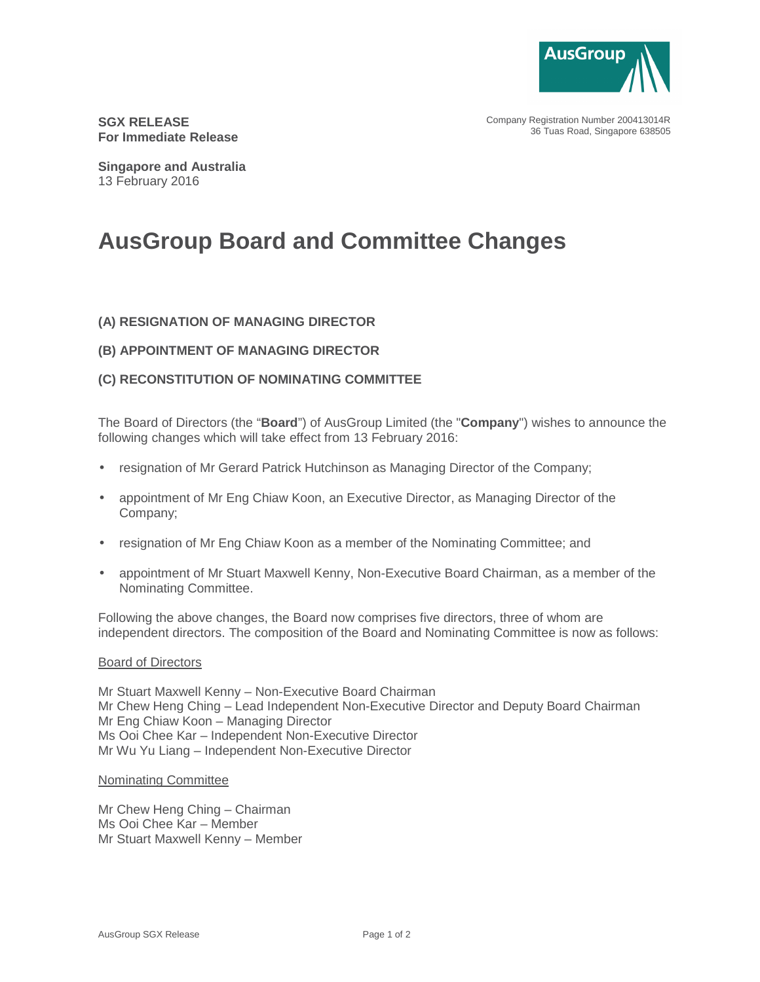

Company Registration Number 200413014R 36 Tuas Road, Singapore 638505

**SGX RELEASE For Immediate Release** 

**Singapore and Australia**  13 February 2016

# **AusGroup Board and Committee Changes**

# **(A) RESIGNATION OF MANAGING DIRECTOR**

## **(B) APPOINTMENT OF MANAGING DIRECTOR**

# **(C) RECONSTITUTION OF NOMINATING COMMITTEE**

The Board of Directors (the "**Board**") of AusGroup Limited (the "**Company**") wishes to announce the following changes which will take effect from 13 February 2016:

- resignation of Mr Gerard Patrick Hutchinson as Managing Director of the Company;
- appointment of Mr Eng Chiaw Koon, an Executive Director, as Managing Director of the Company;
- resignation of Mr Eng Chiaw Koon as a member of the Nominating Committee; and
- appointment of Mr Stuart Maxwell Kenny, Non-Executive Board Chairman, as a member of the Nominating Committee.

Following the above changes, the Board now comprises five directors, three of whom are independent directors. The composition of the Board and Nominating Committee is now as follows:

#### Board of Directors

Mr Stuart Maxwell Kenny – Non-Executive Board Chairman Mr Chew Heng Ching – Lead Independent Non-Executive Director and Deputy Board Chairman Mr Eng Chiaw Koon – Managing Director Ms Ooi Chee Kar – Independent Non-Executive Director Mr Wu Yu Liang – Independent Non-Executive Director

## Nominating Committee

Mr Chew Heng Ching – Chairman Ms Ooi Chee Kar – Member Mr Stuart Maxwell Kenny – Member